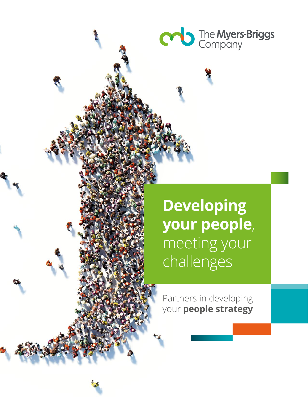

**Developing your people**, meeting your challenges

Partners in developing your **people strategy**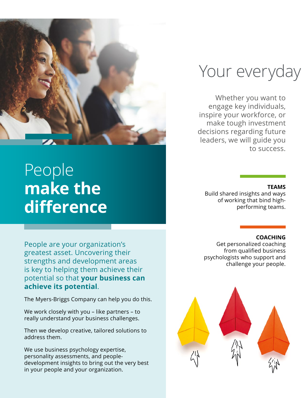

## People **make the difference**

People are your organization's greatest asset. Uncovering their strengths and development areas is key to helping them achieve their potential so that **your business can achieve its potential**.

The Myers-Briggs Company can help you do this.

We work closely with you – like partners – to really understand your business challenges.

Then we develop creative, tailored solutions to address them.

We use business psychology expertise, personality assessments, and peopledevelopment insights to bring out the very best in your people and your organization.

## Your everyday

Whether you want to engage key individuals, inspire your workforce, or make tough investment decisions regarding future leaders, we will guide you to success.

#### **TEAMS**

Build shared insights and ways of working that bind highperforming teams.

#### **COACHING**

Get personalized coaching from qualified business psychologists who support and challenge your people.

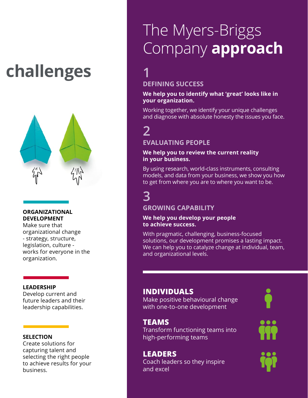# **challenges**



#### **ORGANIZATIONAL DEVELOPMENT**

Make sure that organizational change - strategy, structure, legislation, culture works for everyone in the organization.

#### **LEADERSHIP**

Develop current and future leaders and their leadership capabilities.

#### **SELECTION**

Create solutions for capturing talent and selecting the right people to achieve results for your business.

## The Myers-Briggs Company **approach**

**1 DEFINING SUCCESS**

#### **We help you to identify what 'great' looks like in your organization.**

Working together, we identify your unique challenges and diagnose with absolute honesty the issues you face.

### **2**

#### **EVALUATING PEOPLE**

#### **We help you to review the current reality in your business.**

By using research, world-class instruments, consulting models, and data from your business, we show you how to get from where you are to where you want to be.

### **3**

#### **GROWING CAPABILITY**

#### **We help you develop your people to achieve success.**

With pragmatic, challenging, business-focused solutions, our development promises a lasting impact. We can help you to catalyze change at individual, team, and organizational levels.

### **INDIVIDUALS**

Make positive behavioural change with one-to-one development

#### **TEAMS**

Transform functioning teams into high-performing teams

**LEADERS** Coach leaders so they inspire and excel